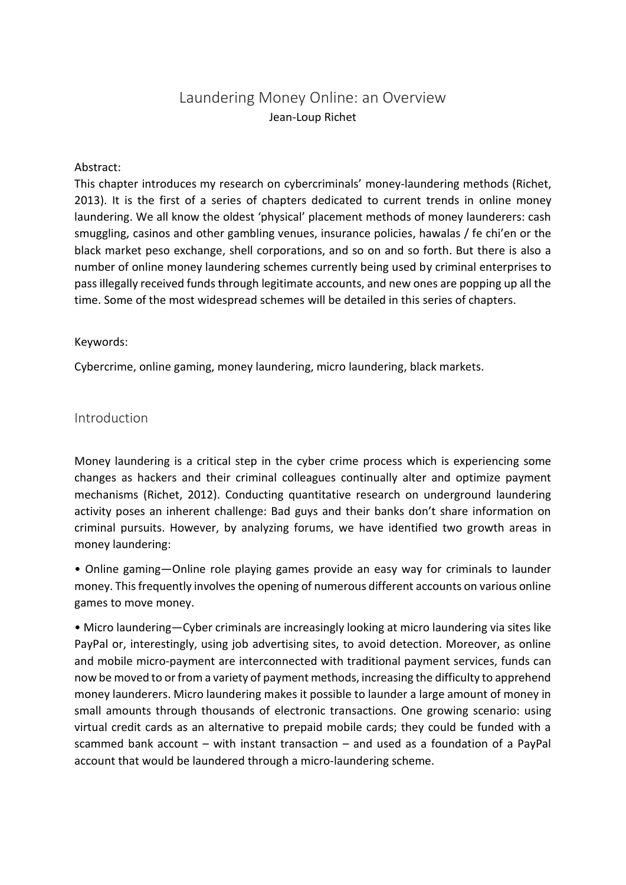# Laundering Money Online: an Overview Jean-Loup Richet

#### Abstract:

This chapter introduces my research on cybercriminals' money-laundering methods (Richet, 2013). It is the first of a series of chapters dedicated to current trends in online money laundering. We all know the oldest 'physical' placement methods of money launderers: cash smuggling, casinos and other gambling venues, insurance policies, hawalas / fe chi'en or the black market peso exchange, shell corporations, and so on and so forth. But there is also a number of online money laundering schemes currently being used by criminal enterprises to pass illegally received funds through legitimate accounts, and new ones are popping up all the time. Some of the most widespread schemes will be detailed in this series of chapters.

#### Keywords:

Cybercrime, online gaming, money laundering, micro laundering, black markets.

## Introduction

Money laundering is a critical step in the cyber crime process which is experiencing some changes as hackers and their criminal colleagues continually alter and optimize payment mechanisms (Richet, 2012). Conducting quantitative research on underground laundering activity poses an inherent challenge: Bad guys and their banks don't share information on criminal pursuits. However, by analyzing forums, we have identified two growth areas in money laundering:

• Online gaming—Online role playing games provide an easy way for criminals to launder money. This frequently involves the opening of numerous different accounts on various online games to move money.

• Micro laundering—Cyber criminals are increasingly looking at micro laundering via sites like PayPal or, interestingly, using job advertising sites, to avoid detection. Moreover, as online and mobile micro-payment are interconnected with traditional payment services, funds can now be moved to or from a variety of payment methods, increasing the difficulty to apprehend money launderers. Micro laundering makes it possible to launder a large amount of money in small amounts through thousands of electronic transactions. One growing scenario: using virtual credit cards as an alternative to prepaid mobile cards; they could be funded with a scammed bank account – with instant transaction – and used as a foundation of a PayPal account that would be laundered through a micro-laundering scheme.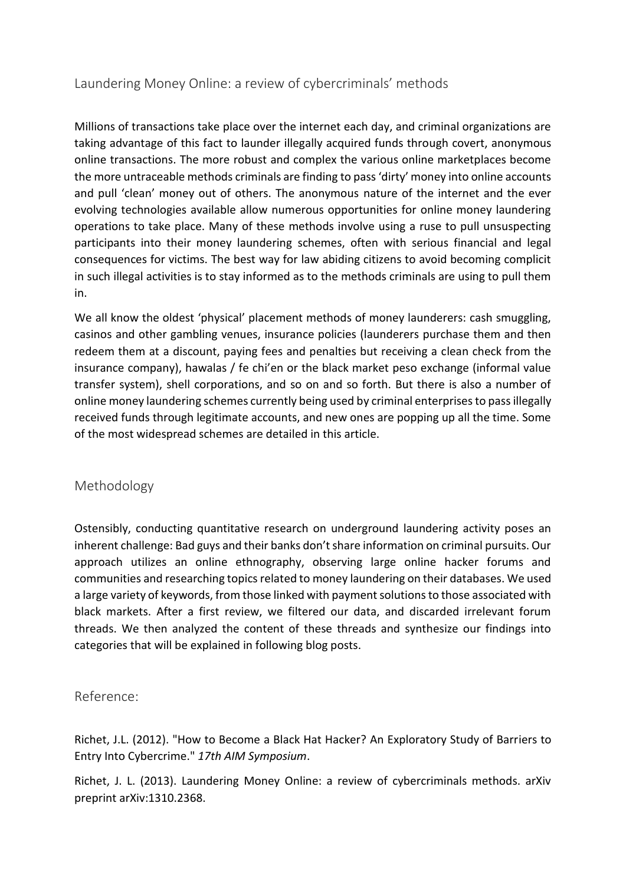# Laundering Money Online: a review of cybercriminals' methods

Millions of transactions take place over the internet each day, and criminal organizations are taking advantage of this fact to launder illegally acquired funds through covert, anonymous online transactions. The more robust and complex the various online marketplaces become the more untraceable methods criminals are finding to pass 'dirty' money into online accounts and pull 'clean' money out of others. The anonymous nature of the internet and the ever evolving technologies available allow numerous opportunities for online money laundering operations to take place. Many of these methods involve using a ruse to pull unsuspecting participants into their money laundering schemes, often with serious financial and legal consequences for victims. The best way for law abiding citizens to avoid becoming complicit in such illegal activities is to stay informed as to the methods criminals are using to pull them in.

We all know the oldest 'physical' placement methods of money launderers: cash smuggling, casinos and other gambling venues, insurance policies (launderers purchase them and then redeem them at a discount, paying fees and penalties but receiving a clean check from the insurance company), hawalas / fe chi'en or the black market peso exchange (informal value transfer system), shell corporations, and so on and so forth. But there is also a number of online money laundering schemes currently being used by criminal enterprises to pass illegally received funds through legitimate accounts, and new ones are popping up all the time. Some of the most widespread schemes are detailed in this article.

## Methodology

Ostensibly, conducting quantitative research on underground laundering activity poses an inherent challenge: Bad guys and their banks don't share information on criminal pursuits. Our approach utilizes an online ethnography, observing large online hacker forums and communities and researching topics related to money laundering on their databases. We used a large variety of keywords, from those linked with payment solutions to those associated with black markets. After a first review, we filtered our data, and discarded irrelevant forum threads. We then analyzed the content of these threads and synthesize our findings into categories that will be explained in following blog posts.

## Reference:

Richet, J.L. (2012). "How to Become a Black Hat Hacker? An Exploratory Study of Barriers to Entry Into Cybercrime." *17th AIM Symposium*.

Richet, J. L. (2013). Laundering Money Online: a review of cybercriminals methods. arXiv preprint arXiv:1310.2368.